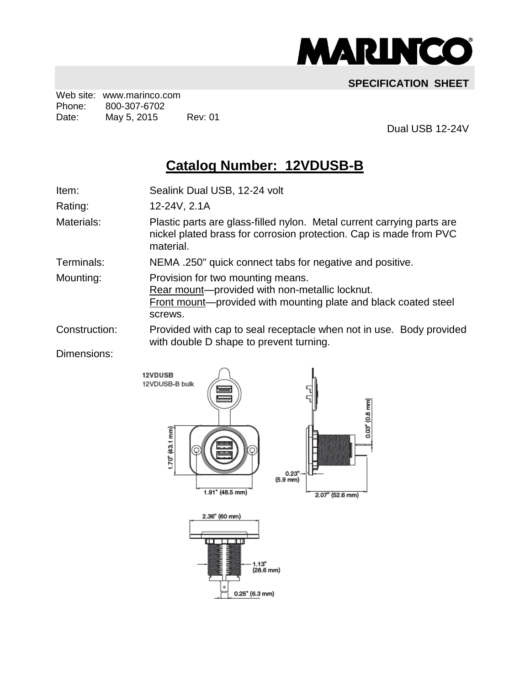

## **SPECIFICATION SHEET**

Web site: www.marinco.com Phone: 800-307-6702 Date: May 5, 2015 Rev: 01

Dual USB 12-24V

## **Catalog Number: 12VDUSB-B**

Item: Sealink Dual USB, 12-24 volt

Rating: 12-24V, 2.1A

Materials: Plastic parts are glass-filled nylon. Metal current carrying parts are nickel plated brass for corrosion protection. Cap is made from PVC material.

Terminals: NEMA .250" quick connect tabs for negative and positive.

Mounting: Provision for two mounting means.

Rear mount—provided with non-metallic locknut. Front mount—provided with mounting plate and black coated steel screws.

Construction: Provided with cap to seal receptacle when not in use. Body provided with double D shape to prevent turning.

Dimensions: